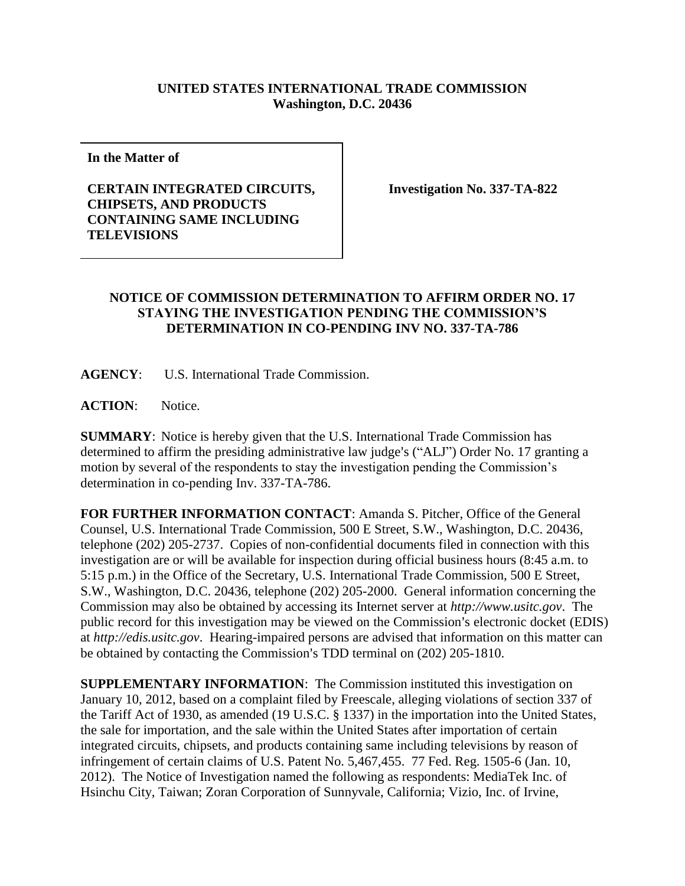## **UNITED STATES INTERNATIONAL TRADE COMMISSION Washington, D.C. 20436**

**In the Matter of**

## **CERTAIN INTEGRATED CIRCUITS, CHIPSETS, AND PRODUCTS CONTAINING SAME INCLUDING TELEVISIONS**

**Investigation No. 337-TA-822**

## **NOTICE OF COMMISSION DETERMINATION TO AFFIRM ORDER NO. 17 STAYING THE INVESTIGATION PENDING THE COMMISSION'S DETERMINATION IN CO-PENDING INV NO. 337-TA-786**

**AGENCY**: U.S. International Trade Commission.

**ACTION**: Notice.

**SUMMARY**: Notice is hereby given that the U.S. International Trade Commission has determined to affirm the presiding administrative law judge's ("ALJ") Order No. 17 granting a motion by several of the respondents to stay the investigation pending the Commission's determination in co-pending Inv. 337-TA-786.

**FOR FURTHER INFORMATION CONTACT**: Amanda S. Pitcher, Office of the General Counsel, U.S. International Trade Commission, 500 E Street, S.W., Washington, D.C. 20436, telephone (202) 205-2737. Copies of non-confidential documents filed in connection with this investigation are or will be available for inspection during official business hours (8:45 a.m. to 5:15 p.m.) in the Office of the Secretary, U.S. International Trade Commission, 500 E Street, S.W., Washington, D.C. 20436, telephone (202) 205-2000. General information concerning the Commission may also be obtained by accessing its Internet server at *http://www.usitc.gov*. The public record for this investigation may be viewed on the Commission's electronic docket (EDIS) at *http://edis.usitc.gov*. Hearing-impaired persons are advised that information on this matter can be obtained by contacting the Commission's TDD terminal on (202) 205-1810.

**SUPPLEMENTARY INFORMATION**: The Commission instituted this investigation on January 10, 2012, based on a complaint filed by Freescale, alleging violations of section 337 of the Tariff Act of 1930, as amended (19 U.S.C. § 1337) in the importation into the United States, the sale for importation, and the sale within the United States after importation of certain integrated circuits, chipsets, and products containing same including televisions by reason of infringement of certain claims of U.S. Patent No. 5,467,455. 77 Fed. Reg. 1505-6 (Jan. 10, 2012). The Notice of Investigation named the following as respondents: MediaTek Inc. of Hsinchu City, Taiwan; Zoran Corporation of Sunnyvale, California; Vizio, Inc. of Irvine,